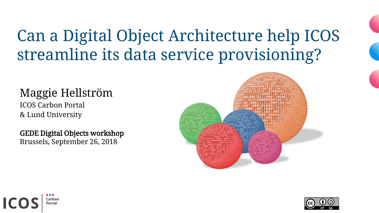## Can a Digital Object Architecture help ICOS streamline its data service provisioning?

#### Maggie Hellström

ICOS Carbon Portal & Lund University

GEDE Digital Objects workshop Brussels, September 26, 2018





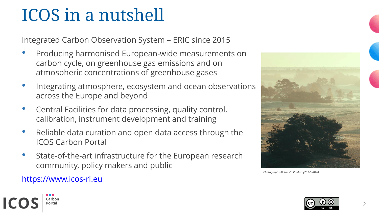## ICOS in a nutshell

Integrated Carbon Observation System – ERIC since 2015

- Producing harmonised European-wide measurements on carbon cycle, on greenhouse gas emissions and on atmospheric concentrations of greenhouse gases
- Integrating atmosphere, ecosystem and ocean observations across the Europe and beyond
- Central Facilities for data processing, quality control, calibration, instrument development and training
- Reliable data curation and open data access through the ICOS Carbon Portal
- State-of-the-art infrastructure for the European research community, policy makers and public



*Photographs* © *Konsta Punkka (2017-2018)*

#### https://www.icos-ri.eu

Carbon Portal

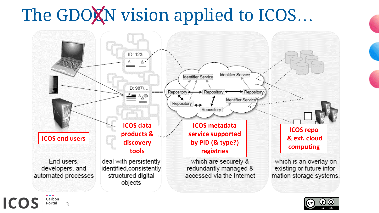## The GDOXN vision applied to ICOS...





**Carbon Portal** 3

**ICOS**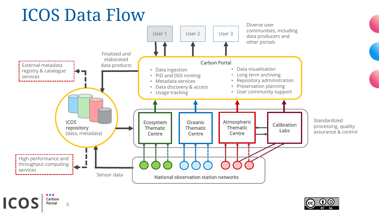## ICOS Data Flow



 $\bullet\bullet\bullet$ **ICOS** Carbon **Portal** 

4

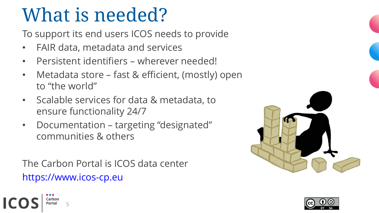# What is needed?

To support its end users ICOS needs to provide

- FAIR data, metadata and services
- Persistent identifiers wherever needed!
- Metadata store fast & efficient, (mostly) open to "the world"
- Scalable services for data & metadata, to ensure functionality 24/7
- Documentation targeting "designated" communities & others

The Carbon Portal is ICOS data center https://www.icos-cp.eu

5

Carbon Portal



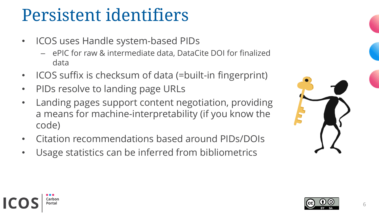## Persistent identifiers

- ICOS uses Handle system-based PIDs
	- ePIC for raw & intermediate data, DataCite DOI for finalized data
- ICOS suffix is checksum of data (=built-in fingerprint)
- PIDs resolve to landing page URLs

Carbon ortal<sup>,</sup>

- Landing pages support content negotiation, providing a means for machine-interpretability (if you know the code)
- Citation recommendations based around PIDs/DOIs
- Usage statistics can be inferred from bibliometrics



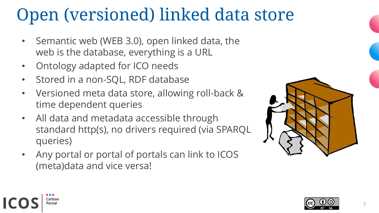## Open (versioned) linked data store

- Semantic web (WEB 3.0), open linked data, the web is the database, everything is a URL
- Ontology adapted for ICO needs

Carbon Portal

- Stored in a non-SQL, RDF database
- Versioned meta data store, allowing roll-back & time dependent queries
- All data and metadata accessible through standard http(s), no drivers required (via SPARQL queries)
- Any portal or portal of portals can link to ICOS (meta)data and vice versa!



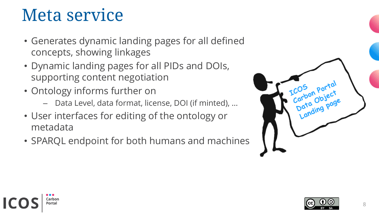## Meta service

Carbon ortal<sup>,</sup>

- Generates dynamic landing pages for all defined concepts, showing linkages
- Dynamic landing pages for all PIDs and DOIs, supporting content negotiation
- Ontology informs further on
	- Data Level, data format, license, DOI (if minted), …
- User interfaces for editing of the ontology or metadata
- SPARQL endpoint for both humans and machines



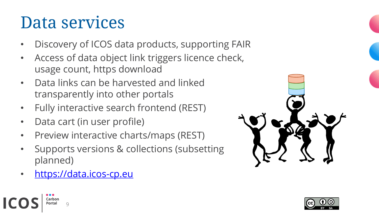## Data services

- Discovery of ICOS data products, supporting FAIR
- Access of data object link triggers licence check, usage count, https download
- Data links can be harvested and linked transparently into other portals
- Fully interactive search frontend (REST)
- Data cart (in user profile)
- Preview interactive charts/maps (REST)
- Supports versions & collections (subsetting planned)
- [https://data.icos-cp.eu](https://data.icos-cp.eu/)

9

arbon: ortal